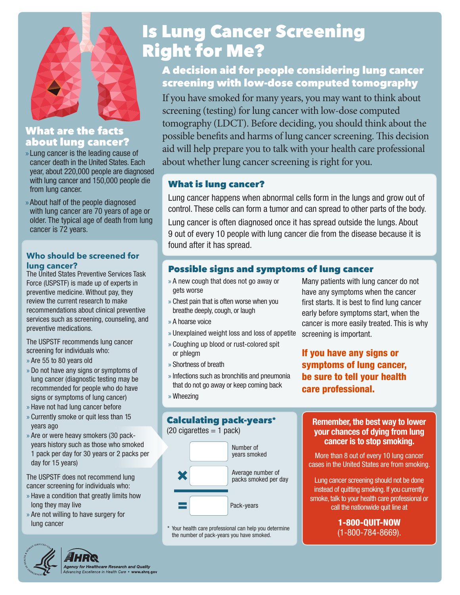

# What are the facts about lung cancer?

- » Lung cancer is the leading cause of cancer death in the United States. Each year, about 220,000 people are diagnosed with lung cancer and 150,000 people die from lung cancer.
- » About half of the people diagnosed with lung cancer are 70 years of age or older. The typical age of death from lung cancer is 72 years.

### **Who should be screened for lung cancer?**

The United States Preventive Services Task Force (USPSTF) is made up of experts in preventive medicine. Without pay, they review the current research to make recommendations about clinical preventive services such as screening, counseling, and preventive medications.

The USPSTF recommends lung cancer screening for individuals who:

- » Are 55 to 80 years old
- » Do not have any signs or symptoms of lung cancer (diagnostic testing may be recommended for people who do have signs or symptoms of lung cancer)
- » Have not had lung cancer before
- » Currently smoke or quit less than 15 years ago
- » Are or were heavy smokers (30 packyears history such as those who smoked 1 pack per day for 30 years or 2 packs per day for 15 years)

The USPSTF does not recommend lung cancer screening for individuals who:

- » Have a condition that greatly limits how long they may live
- » Are not willing to have surgery for lung cancer

# Is Lung Cancer Screening Right for Me?

# A decision aid for people considering lung cancer screening with low-dose computed tomography

If you have smoked for many years, you may want to think about screening (testing) for lung cancer with low-dose computed tomography (LDCT). Before deciding, you should think about the possible benefits and harms of lung cancer screening. This decision aid will help prepare you to talk with your health care professional about whether lung cancer screening is right for you.

### What is lung cancer?

Lung cancer happens when abnormal cells form in the lungs and grow out of control. These cells can form a tumor and can spread to other parts of the body.

Lung cancer is often diagnosed once it has spread outside the lungs. About 9 out of every 10 people with lung cancer die from the disease because it is found after it has spread.

## Possible signs and symptoms of lung cancer

- » A new cough that does not go away or gets worse
- » Chest pain that is often worse when you breathe deeply, cough, or laugh
- » A hoarse voice
- » Unexplained weight loss and loss of appetite
- » Coughing up blood or rust-colored spit or phlegm
- » Shortness of breath
- » Infections such as bronchitis and pneumonia that do not go away or keep coming back
- » Wheezing

# Calculating pack-years\*

 $(20 \text{ cigarettes} = 1 \text{ pack})$ 



\* Your health care professional can help you determine the number of pack-years you have smoked.

Many patients with lung cancer do not have any symptoms when the cancer first starts. It is best to find lung cancer early before symptoms start, when the cancer is more easily treated. This is why screening is important.

# If you have any signs or symptoms of lung cancer, be sure to tell your health care professional.

### **Remember, the best way to lower your chances of dying from lung cancer is to stop smoking.**

More than 8 out of every 10 lung cancer cases in the United States are from smoking.

Lung cancer screening should not be done instead of quitting smoking. If you currently smoke, talk to your health care professional or call the nationwide quit line at

> 1-800-QUIT-NOW (1-800-784-8669).



# n<mark>cy for Healthcare Research and Quality</mark><br>ncing Excellence in Health Care • www.ahrq.gov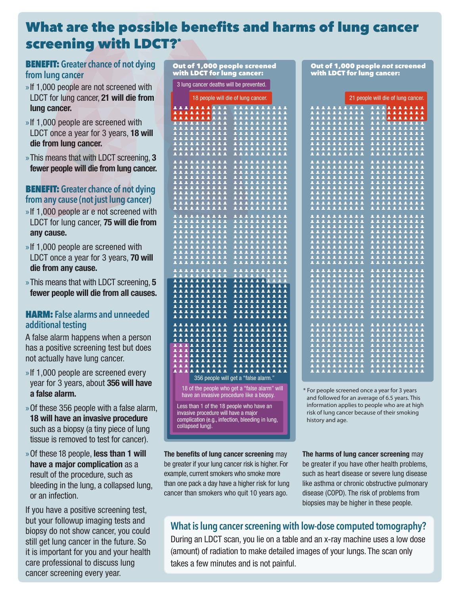# What are the possible benefits and harms of lung cancer screening with LDCT?\*

Out of 1,000 people screened

## BENEFIT: **Greater chance of not dying from lung cancer**

- »If 1,000 people are not screened with LDCT for lung cancer, **21 will die from lung cancer.**
- »If 1,000 people are screened with LDCT once a year for 3 years, **18 will die from lung cancer.**
- »This means that with LDCT screening, **3 fewer people will die from lung cancer.**

### BENEFIT: **Greater chance of not dying from any cause (not just lung cancer)**

- »If 1,000 people ar e not screened with LDCT for lung cancer, **75 will die from any cause.**
- »If 1,000 people are screened with LDCT once a year for 3 years, **70 will die from any cause.**
- »This means that with LDCT screening, **5 fewer people will die from all causes.**

### HARM: **False alarms and unneeded additional testing**

A false alarm happens when a person has a positive screening test but does not actually have lung cancer.

- »If 1,000 people are screened every year for 3 years, about **356 will have a false alarm.**
- »Of these 356 people with a false alarm, **18 will have an invasive procedure** such as a biopsy (a tiny piece of lung tissue is removed to test for cancer).
- »Of these 18 people, **less than 1 will have a major complication** as a result of the procedure, such as bleeding in the lung, a collapsed lung, or an infection.

If you have a positive screening test, but your followup imaging tests and biopsy do not show cancer, you could still get lung cancer in the future. So it is important for you and your health care professional to discuss lung cancer screening every year.

| <u>vith LD</u> CT for lung cancer:                                                                                                                                                                                                                                                                                                                                                                                                                                                                       |  |  |  |  |  |  |
|----------------------------------------------------------------------------------------------------------------------------------------------------------------------------------------------------------------------------------------------------------------------------------------------------------------------------------------------------------------------------------------------------------------------------------------------------------------------------------------------------------|--|--|--|--|--|--|
| 3 lung cancer deaths will be prevented.                                                                                                                                                                                                                                                                                                                                                                                                                                                                  |  |  |  |  |  |  |
| 18 people will die of lung cancer.                                                                                                                                                                                                                                                                                                                                                                                                                                                                       |  |  |  |  |  |  |
| <b>AAAAAAA</b><br>2222<br>$\blacktriangle$<br>$\blacktriangle$<br>Ŀ<br>$\blacktriangle$                                                                                                                                                                                                                                                                                                                                                                                                                  |  |  |  |  |  |  |
| $\frac{11111}{11111}$                                                                                                                                                                                                                                                                                                                                                                                                                                                                                    |  |  |  |  |  |  |
|                                                                                                                                                                                                                                                                                                                                                                                                                                                                                                          |  |  |  |  |  |  |
|                                                                                                                                                                                                                                                                                                                                                                                                                                                                                                          |  |  |  |  |  |  |
| - 1 1 1 1<br>1 1 1 1                                                                                                                                                                                                                                                                                                                                                                                                                                                                                     |  |  |  |  |  |  |
| $\frac{1}{2}$                                                                                                                                                                                                                                                                                                                                                                                                                                                                                            |  |  |  |  |  |  |
| 222<br>2.2.2<br>$\Delta$<br>$\Delta$<br>$\Delta$<br>$\overline{A}$                                                                                                                                                                                                                                                                                                                                                                                                                                       |  |  |  |  |  |  |
|                                                                                                                                                                                                                                                                                                                                                                                                                                                                                                          |  |  |  |  |  |  |
|                                                                                                                                                                                                                                                                                                                                                                                                                                                                                                          |  |  |  |  |  |  |
|                                                                                                                                                                                                                                                                                                                                                                                                                                                                                                          |  |  |  |  |  |  |
| <b>AAAAAAAAAA</b><br><b>AAAAAAAA</b><br><b>AAAAAAAA</b><br><b>A A A A A A A A A</b><br><b><i>AAAAAAAA</i></b><br><b>AAAAAAAA</b><br><b>AAAAA</b>                                                                                                                                                                                                                                                                                                                                                         |  |  |  |  |  |  |
|                                                                                                                                                                                                                                                                                                                                                                                                                                                                                                          |  |  |  |  |  |  |
| <b>TIT</b><br>$\bar{\mathbf{z}}$<br>$\mathbf{\Xi}$<br>$\overline{11}$<br>$\overline{\mathbf{A}}$<br>Ā<br>$\overline{\textbf{z}}$<br>$\overline{\mathbf{z}}$<br>$\overline{\mathbf{A}}$<br>Ā<br>Ä                                                                                                                                                                                                                                                                                                         |  |  |  |  |  |  |
|                                                                                                                                                                                                                                                                                                                                                                                                                                                                                                          |  |  |  |  |  |  |
|                                                                                                                                                                                                                                                                                                                                                                                                                                                                                                          |  |  |  |  |  |  |
|                                                                                                                                                                                                                                                                                                                                                                                                                                                                                                          |  |  |  |  |  |  |
| <b>AAAAAAAA</b>                                                                                                                                                                                                                                                                                                                                                                                                                                                                                          |  |  |  |  |  |  |
|                                                                                                                                                                                                                                                                                                                                                                                                                                                                                                          |  |  |  |  |  |  |
|                                                                                                                                                                                                                                                                                                                                                                                                                                                                                                          |  |  |  |  |  |  |
| ī                                                                                                                                                                                                                                                                                                                                                                                                                                                                                                        |  |  |  |  |  |  |
| **********<br>*********<br>********<br>$\frac{2}{2}$                                                                                                                                                                                                                                                                                                                                                                                                                                                     |  |  |  |  |  |  |
| $\begin{smallmatrix} \textbf{1} & \textbf{2} & \textbf{3} & \textbf{4} & \textbf{5} & \textbf{5} & \textbf{6} \\ \textbf{2} & \textbf{3} & \textbf{4} & \textbf{5} & \textbf{5} & \textbf{5} & \textbf{6} \\ \textbf{3} & \textbf{4} & \textbf{5} & \textbf{5} & \textbf{5} & \textbf{5} & \textbf{5} & \textbf{6} \\ \textbf{4} & \textbf{5} & \textbf{5} & \textbf{5} & \textbf{5} & \textbf{5} & \textbf{5} & \textbf{5} & \textbf{6$<br>111111111<br>$\overline{\textbf{z}}$<br>$\overline{\bullet}$ |  |  |  |  |  |  |
| ▲<br>ዹ<br>2<br>Ā                                                                                                                                                                                                                                                                                                                                                                                                                                                                                         |  |  |  |  |  |  |
| ▴<br>۷<br><b>AAAAAAAA</b><br>▲<br>▴<br>$\overline{\textbf{A}}$                                                                                                                                                                                                                                                                                                                                                                                                                                           |  |  |  |  |  |  |
| <b>AAAAAAAA</b><br>é<br>$\overline{\bullet}$                                                                                                                                                                                                                                                                                                                                                                                                                                                             |  |  |  |  |  |  |
| 11111111<br>┻<br>$\blacktriangle$<br>Ä<br>$\blacktriangle$                                                                                                                                                                                                                                                                                                                                                                                                                                               |  |  |  |  |  |  |
| <b>AAAAAAAAA</b><br>$\frac{2}{2}$<br><b>AAAAAAAAA</b><br>┻                                                                                                                                                                                                                                                                                                                                                                                                                                               |  |  |  |  |  |  |
| ▲<br><b>AAAAAAAAA</b><br><b>AAAAAAAA</b><br>ዹ                                                                                                                                                                                                                                                                                                                                                                                                                                                            |  |  |  |  |  |  |
| $\frac{2}{2}$<br><b>AAAAAA</b><br>$\blacktriangle$<br>▲<br>Δ                                                                                                                                                                                                                                                                                                                                                                                                                                             |  |  |  |  |  |  |
| $\blacktriangle$<br>$\overline{\mathbf{A}}$                                                                                                                                                                                                                                                                                                                                                                                                                                                              |  |  |  |  |  |  |
| $\frac{2}{2}$<br><b>AAAAAA</b><br>$\blacktriangle$<br>$\blacktriangle$<br>$\blacktriangle$<br>ρ                                                                                                                                                                                                                                                                                                                                                                                                          |  |  |  |  |  |  |
| 1111111<br>11111111<br>11111111<br>=======<br>=======<br>========<br>ق<br>22                                                                                                                                                                                                                                                                                                                                                                                                                             |  |  |  |  |  |  |
| 356 people will get a "false alarm."                                                                                                                                                                                                                                                                                                                                                                                                                                                                     |  |  |  |  |  |  |
| 18 of the people who get a "false alarm" will                                                                                                                                                                                                                                                                                                                                                                                                                                                            |  |  |  |  |  |  |
| have an invasive procedure like a biopsy.                                                                                                                                                                                                                                                                                                                                                                                                                                                                |  |  |  |  |  |  |
| Less than 1 of the 18 people who have an                                                                                                                                                                                                                                                                                                                                                                                                                                                                 |  |  |  |  |  |  |
| invasive procedure will have a major                                                                                                                                                                                                                                                                                                                                                                                                                                                                     |  |  |  |  |  |  |
| complication (e.g., infection, bleeding in lung.                                                                                                                                                                                                                                                                                                                                                                                                                                                         |  |  |  |  |  |  |

complication (e.g., infection, bleeding in lung, collapsed lung).

**The benefits of lung cancer screening** may be greater if your lung cancer risk is higher. For example, current smokers who smoke more than one pack a day have a higher risk for lung cancer than smokers who quit 10 years ago.

Out of 1,000 people *not* screened with LDCT for lung cancer:

21 people will die of lung cancer.

|                                                                                                                                 | ************                                                                                                      |
|---------------------------------------------------------------------------------------------------------------------------------|-------------------------------------------------------------------------------------------------------------------|
|                                                                                                                                 |                                                                                                                   |
|                                                                                                                                 | ø,                                                                                                                |
|                                                                                                                                 | IIIIIIII<br>1111111111<br>111111111<br>g                                                                          |
| 2222<br>2222<br>$\blacktriangle$                                                                                                | ŗ.                                                                                                                |
| $\blacktriangle$<br><b>AAAAAA</b><br>$\overline{11}$<br>호                                                                       | <b>AAAAAAA</b><br>A<br>$\Delta$                                                                                   |
|                                                                                                                                 |                                                                                                                   |
| ۔<br>ح<br>د<br>22222<br>Δ<br>ک<br>$\blacktriangle$                                                                              | p                                                                                                                 |
| ß<br><b><i><u>AAAAA</u></i></b><br>Ø<br>Δ<br>$\Delta$                                                                           |                                                                                                                   |
|                                                                                                                                 |                                                                                                                   |
|                                                                                                                                 |                                                                                                                   |
|                                                                                                                                 |                                                                                                                   |
| ***********<br>***********<br>***********                                                                                       |                                                                                                                   |
|                                                                                                                                 |                                                                                                                   |
|                                                                                                                                 |                                                                                                                   |
|                                                                                                                                 |                                                                                                                   |
| $\overline{\mathbf{A}}$<br>2222<br>$\overline{\mathbf{A}}$<br>ءَ<br>22                                                          |                                                                                                                   |
| Â<br>$\overline{\mathbf{A}}$<br>2222<br>22<br>$\Delta$<br>Ā                                                                     | <b>AAAAAA</b><br>$\Delta$<br>$\blacktriangle$<br>A                                                                |
| p<br>Â<br>د<br>$222$<br>$\blacktriangle$<br>فرا<br>$\blacktriangle$<br>$\blacktriangle$                                         | 22<br>É<br>Ø<br>$\Delta$<br>$\Delta$                                                                              |
|                                                                                                                                 | 111111                                                                                                            |
| ٨<br>$\Delta$<br>Ā<br><b>LAIL</b><br>2.2<br>3                                                                                   | Δ<br>$\blacktriangle$<br>$\overline{\mathbf{A}}$<br>٤                                                             |
|                                                                                                                                 | 1111111111                                                                                                        |
|                                                                                                                                 |                                                                                                                   |
|                                                                                                                                 |                                                                                                                   |
|                                                                                                                                 |                                                                                                                   |
|                                                                                                                                 |                                                                                                                   |
|                                                                                                                                 |                                                                                                                   |
|                                                                                                                                 |                                                                                                                   |
| $\blacktriangle$<br>2222<br>三三<br>$\overline{22}$                                                                               |                                                                                                                   |
| $\overline{\mathbf{A}}$<br>Ā<br>$\Delta$<br><b>AAAAAA</b><br>$\mathbf{A}$                                                       | <b>AAAAAA</b><br>$\overline{2}$<br>Ä<br>$\overline{\mathbf{A}}$                                                   |
| ¢<br>É<br>p<br>p<br>p<br>2.2<br>$\Delta$<br>p<br>$\blacktriangle$                                                               | $\blacktriangle$<br>$\blacktriangle$<br>p<br>$\Delta$<br>p<br>$\blacktriangle$<br>p<br>Ø<br>A<br>$\blacktriangle$ |
| $\Delta$<br>Â<br>Ø<br>2222<br>2.2<br>وً                                                                                         | د<br>2222<br>Ø<br>ی<br>22<br>호                                                                                    |
|                                                                                                                                 | <b><i>AAAAAAAA</i></b><br>$\blacktriangle$                                                                        |
| ____________<br><i>111111111</i>                                                                                                | **********                                                                                                        |
|                                                                                                                                 |                                                                                                                   |
|                                                                                                                                 |                                                                                                                   |
|                                                                                                                                 |                                                                                                                   |
|                                                                                                                                 |                                                                                                                   |
|                                                                                                                                 |                                                                                                                   |
|                                                                                                                                 |                                                                                                                   |
| 2222<br>22<br>$\hat{\mathbf{z}}$<br>2.2                                                                                         |                                                                                                                   |
| $\overline{\textbf{A}}$<br>Â<br><b>AAAAAA</b><br>$\Delta$<br>$\Delta$                                                           | <b>AAAAAAA</b><br>Â<br>$\blacktriangle$                                                                           |
| ۔<br>ح<br>Â<br>$\vec{\mathsf{P}}$<br>$\mathbf{A}^{\dagger}$<br>$\Delta$<br>Ø<br>$\overline{\mathbf{P}}$<br>$\Delta$<br>$\Delta$ | ا<br>ج<br>د<br>$\blacktriangle$<br>222<br>ءَ<br>د<br>$\blacktriangle$<br>د                                        |
| Ä<br>2222<br>22<br>Ā<br>Ā<br>$\blacktriangle$                                                                                   | Ä<br>22222<br>$\overline{\mathbf{A}}$<br>Ā<br>$\blacktriangle$<br>Ā                                               |
| ***********                                                                                                                     | 1111111111<br>1111111111                                                                                          |
|                                                                                                                                 |                                                                                                                   |
|                                                                                                                                 |                                                                                                                   |
| ***********<br>***********<br>************                                                                                      |                                                                                                                   |
|                                                                                                                                 |                                                                                                                   |
|                                                                                                                                 |                                                                                                                   |
|                                                                                                                                 |                                                                                                                   |
| 2222<br>$\overline{\mathbf{A}}$<br>2222                                                                                         |                                                                                                                   |
| $\overline{\mathbf{A}}$<br>٨<br>$\Delta$<br>111111<br>$\Delta$                                                                  | 222222<br>ā<br>م<br>$\Delta$<br>$\Delta$                                                                          |
| p<br>p<br>p<br>p<br>É                                                                                                           | Ø<br>د                                                                                                            |
| 1111111<br>$\overline{\mathbf{A}}$                                                                                              | فوا<br>A<br>$\blacktriangle$<br>p                                                                                 |
| د<br>د ا<br>Â                                                                                                                   | ۷<br>$\Delta$                                                                                                     |
| <b>AAAAAA</b><br>ہ<br>ج<br>$\overline{\mathbf{2}}$<br>$\Delta$<br>ρ                                                             | $\blacktriangle$<br>Ā                                                                                             |
| ä<br>$\bullet$<br>ä<br>o.                                                                                                       | $\bullet$<br>ä<br>ò.<br>$\bullet$<br>$\bullet$<br>Ä<br>Ω                                                          |

\* For people screened once a year for 3 years and followed for an average of 6.5 years. This information applies to people who are at high risk of lung cancer because of their smoking history and age.

**The harms of lung cancer screening** may be greater if you have other health problems, such as heart disease or severe lung disease like asthma or chronic obstructive pulmonary disease (COPD). The risk of problems from biopsies may be higher in these people.

# **What is lung cancer screening with low-dose computed tomography?**

During an LDCT scan, you lie on a table and an x-ray machine uses a low dose (amount) of radiation to make detailed images of your lungs. The scan only takes a few minutes and is not painful.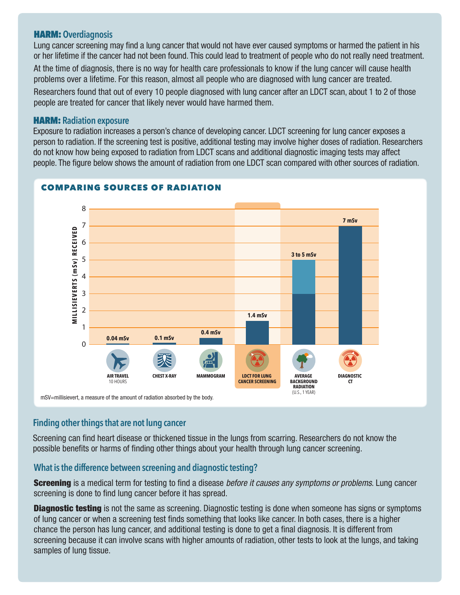### HARM: **Overdiagnosis**

Lung cancer screening may find a lung cancer that would not have ever caused symptoms or harmed the patient in his or her lifetime if the cancer had not been found. This could lead to treatment of people who do not really need treatment. At the time of diagnosis, there is no way for health care professionals to know if the lung cancer will cause health problems over a lifetime. For this reason, almost all people who are diagnosed with lung cancer are treated.

Researchers found that out of every 10 people diagnosed with lung cancer after an LDCT scan, about 1 to 2 of those people are treated for cancer that likely never would have harmed them.

### HARM: **Radiation exposure**

Exposure to radiation increases a person's chance of developing cancer. LDCT screening for lung cancer exposes a person to radiation. If the screening test is positive, additional testing may involve higher doses of radiation. Researchers do not know how being exposed to radiation from LDCT scans and additional diagnostic imaging tests may affect people. The figure below shows the amount of radiation from one LDCT scan compared with other sources of radiation.



### COMPARING SOURCES OF RADIATION

mSV=millisievert, a measure of the amount of radiation absorbed by the body.

### **Finding other things that are not lung cancer**

Screening can find heart disease or thickened tissue in the lungs from scarring. Researchers do not know the possible benefits or harms of finding other things about your health through lung cancer screening.

### **What is the difference between screening and diagnostic testing?**

Screening is a medical term for testing to find a disease *before it causes any symptoms or problems*. Lung cancer screening is done to find lung cancer before it has spread.

**Diagnostic testing** is not the same as screening. Diagnostic testing is done when someone has signs or symptoms of lung cancer or when a screening test finds something that looks like cancer. In both cases, there is a higher chance the person has lung cancer, and additional testing is done to get a final diagnosis. It is different from screening because it can involve scans with higher amounts of radiation, other tests to look at the lungs, and taking samples of lung tissue.